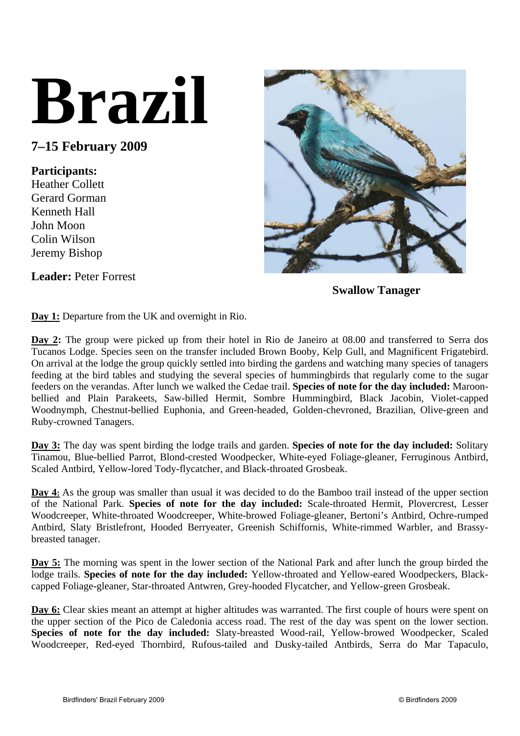## **Brazil**

**7–15 February 2009** 

## **Participants:**

Heather Collett Gerard Gorman Kenneth Hall John Moon Colin Wilson Jeremy Bishop



**Swallow Tanager** 

**Leader:** Peter Forrest

**Day 1:** Departure from the UK and overnight in Rio.

**Day 2:** The group were picked up from their hotel in Rio de Janeiro at 08.00 and transferred to Serra dos Tucanos Lodge. Species seen on the transfer included Brown Booby, Kelp Gull, and Magnificent Frigatebird. On arrival at the lodge the group quickly settled into birding the gardens and watching many species of tanagers feeding at the bird tables and studying the several species of hummingbirds that regularly come to the sugar feeders on the verandas. After lunch we walked the Cedae trail. **Species of note for the day included:** Maroonbellied and Plain Parakeets, Saw-billed Hermit, Sombre Hummingbird, Black Jacobin, Violet-capped Woodnymph, Chestnut-bellied Euphonia, and Green-headed, Golden-chevroned, Brazilian, Olive-green and Ruby-crowned Tanagers.

**Day 3:** The day was spent birding the lodge trails and garden. **Species of note for the day included:** Solitary Tinamou, Blue-bellied Parrot, Blond-crested Woodpecker, White-eyed Foliage-gleaner, Ferruginous Antbird, Scaled Antbird, Yellow-lored Tody-flycatcher, and Black-throated Grosbeak.

**Day 4:** As the group was smaller than usual it was decided to do the Bamboo trail instead of the upper section of the National Park. **Species of note for the day included:** Scale-throated Hermit, Plovercrest, Lesser Woodcreeper, White-throated Woodcreeper, White-browed Foliage-gleaner, Bertoni's Antbird, Ochre-rumped Antbird, Slaty Bristlefront, Hooded Berryeater, Greenish Schiffornis, White-rimmed Warbler, and Brassybreasted tanager.

**Day 5:** The morning was spent in the lower section of the National Park and after lunch the group birded the lodge trails. **Species of note for the day included:** Yellow-throated and Yellow-eared Woodpeckers, Blackcapped Foliage-gleaner, Star-throated Antwren, Grey-hooded Flycatcher, and Yellow-green Grosbeak.

**Day 6:** Clear skies meant an attempt at higher altitudes was warranted. The first couple of hours were spent on the upper section of the Pico de Caledonia access road. The rest of the day was spent on the lower section. **Species of note for the day included:** Slaty-breasted Wood-rail, Yellow-browed Woodpecker, Scaled Woodcreeper, Red-eyed Thornbird, Rufous-tailed and Dusky-tailed Antbirds, Serra do Mar Tapaculo,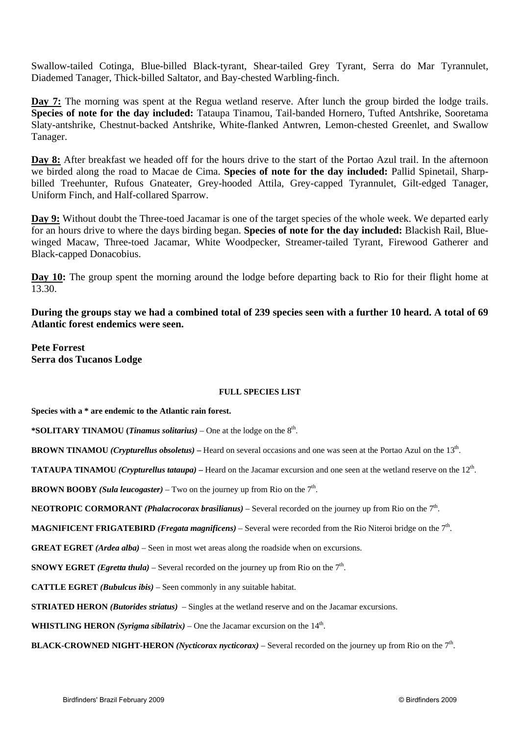Swallow-tailed Cotinga, Blue-billed Black-tyrant, Shear-tailed Grey Tyrant, Serra do Mar Tyrannulet, Diademed Tanager, Thick-billed Saltator, and Bay-chested Warbling-finch.

**Day 7:** The morning was spent at the Regua wetland reserve. After lunch the group birded the lodge trails. **Species of note for the day included:** Tataupa Tinamou, Tail-banded Hornero, Tufted Antshrike, Sooretama Slaty-antshrike, Chestnut-backed Antshrike, White-flanked Antwren, Lemon-chested Greenlet, and Swallow Tanager.

**Day 8:** After breakfast we headed off for the hours drive to the start of the Portao Azul trail. In the afternoon we birded along the road to Macae de Cima. **Species of note for the day included:** Pallid Spinetail, Sharpbilled Treehunter, Rufous Gnateater, Grey-hooded Attila, Grey-capped Tyrannulet, Gilt-edged Tanager, Uniform Finch, and Half-collared Sparrow.

**Day 9:** Without doubt the Three-toed Jacamar is one of the target species of the whole week. We departed early for an hours drive to where the days birding began. **Species of note for the day included:** Blackish Rail, Bluewinged Macaw, Three-toed Jacamar, White Woodpecker, Streamer-tailed Tyrant, Firewood Gatherer and Black-capped Donacobius.

**Day 10:** The group spent the morning around the lodge before departing back to Rio for their flight home at 13.30.

**During the groups stay we had a combined total of 239 species seen with a further 10 heard. A total of 69 Atlantic forest endemics were seen.** 

**Pete Forrest Serra dos Tucanos Lodge** 

## **FULL SPECIES LIST**

**Species with a \* are endemic to the Atlantic rain forest.** 

**\*SOLITARY TINAMOU (***Tinamus solitarius)* – One at the lodge on the 8th.

**BROWN TINAMOU** *(Crypturellus obsoletus)* – Heard on several occasions and one was seen at the Portao Azul on the 13<sup>th</sup>.

**TATAUPA TINAMOU** *(Crypturellus tataupa)* – Heard on the Jacamar excursion and one seen at the wetland reserve on the 12<sup>th</sup>.

**BROWN BOOBY** *(Sula leucogaster)* – Two on the journey up from Rio on the  $7<sup>th</sup>$ .

**NEOTROPIC CORMORANT** *(Phalacrocorax brasilianus)* – Several recorded on the journey up from Rio on the 7<sup>th</sup>.

**MAGNIFICENT FRIGATEBIRD** *(Fregata magnificens)* – Several were recorded from the Rio Niteroi bridge on the 7<sup>th</sup>.

**GREAT EGRET** *(Ardea alba)* – Seen in most wet areas along the roadside when on excursions.

**SNOWY EGRET** *(Egretta thula)* – Several recorded on the journey up from Rio on the  $7<sup>th</sup>$ .

**CATTLE EGRET** *(Bubulcus ibis)* – Seen commonly in any suitable habitat.

**STRIATED HERON** *(Butorides striatus)* – Singles at the wetland reserve and on the Jacamar excursions.

**WHISTLING HERON** *(Syrigma sibilatrix)* – One the Jacamar excursion on the  $14<sup>th</sup>$ .

**BLACK-CROWNED NIGHT-HERON** *(Nycticorax nycticorax)* – Several recorded on the journey up from Rio on the 7th.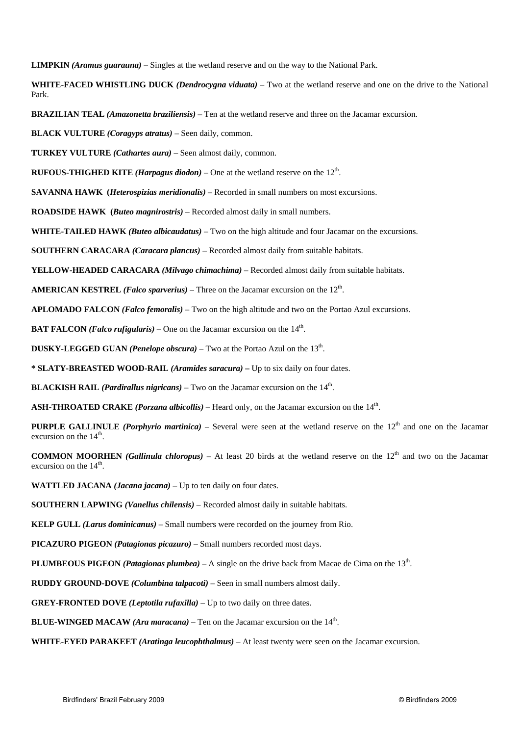**LIMPKIN** *(Aramus guarauna)* – Singles at the wetland reserve and on the way to the National Park.

**WHITE-FACED WHISTLING DUCK** *(Dendrocygna viduata)* – Two at the wetland reserve and one on the drive to the National Park.

**BRAZILIAN TEAL** *(Amazonetta braziliensis)* – Ten at the wetland reserve and three on the Jacamar excursion.

**BLACK VULTURE** *(Coragyps atratus)* – Seen daily, common.

**TURKEY VULTURE** *(Cathartes aura)* – Seen almost daily, common.

**RUFOUS-THIGHED KITE** *(Harpagus diodon)* – One at the wetland reserve on the  $12<sup>th</sup>$ .

**SAVANNA HAWK (***Heterospizias meridionalis)* – Recorded in small numbers on most excursions.

**ROADSIDE HAWK (***Buteo magnirostris)* – Recorded almost daily in small numbers.

**WHITE-TAILED HAWK** *(Buteo albicaudatus)* – Two on the high altitude and four Jacamar on the excursions.

**SOUTHERN CARACARA** *(Caracara plancus)* – Recorded almost daily from suitable habitats.

**YELLOW-HEADED CARACARA** *(Milvago chimachima)* – Recorded almost daily from suitable habitats.

**AMERICAN KESTREL** *(Falco sparverius)* – Three on the Jacamar excursion on the  $12<sup>th</sup>$ .

**APLOMADO FALCON** *(Falco femoralis)* – Two on the high altitude and two on the Portao Azul excursions.

**BAT FALCON** *(Falco rufigularis)* – One on the Jacamar excursion on the  $14<sup>th</sup>$ .

**DUSKY-LEGGED GUAN** *(Penelope obscura)* – Two at the Portao Azul on the  $13<sup>th</sup>$ .

**\* SLATY-BREASTED WOOD-RAIL** *(Aramides saracura)* **–** Up to six daily on four dates.

**BLACKISH RAIL** *(Pardirallus nigricans)* – Two on the Jacamar excursion on the  $14<sup>th</sup>$ .

**ASH-THROATED CRAKE** *(Porzana albicollis)* – Heard only, on the Jacamar excursion on the 14th.

**PURPLE GALLINULE** *(Porphyrio martinica)* – Several were seen at the wetland reserve on the  $12<sup>th</sup>$  and one on the Jacamar excursion on the  $14<sup>th</sup>$ .

**COMMON MOORHEN** *(Gallinula chloropus)* – At least 20 birds at the wetland reserve on the  $12<sup>th</sup>$  and two on the Jacamar excursion on the  $14<sup>th</sup>$ .

**WATTLED JACANA** *(Jacana jacana)* – Up to ten daily on four dates.

 **SOUTHERN LAPWING** *(Vanellus chilensis)* – Recorded almost daily in suitable habitats.

**KELP GULL** *(Larus dominicanus)* – Small numbers were recorded on the journey from Rio.

**PICAZURO PIGEON** *(Patagionas picazuro)* – Small numbers recorded most days.

**PLUMBEOUS PIGEON (Patagionas plumbea)** – A single on the drive back from Macae de Cima on the 13<sup>th</sup>.

**RUDDY GROUND-DOVE** *(Columbina talpacoti)* – Seen in small numbers almost daily.

**GREY-FRONTED DOVE** *(Leptotila rufaxilla)* – Up to two daily on three dates.

**BLUE-WINGED MACAW** *(Ara maracana)* – Ten on the Jacamar excursion on the  $14<sup>th</sup>$ .

**WHITE-EYED PARAKEET** *(Aratinga leucophthalmus)* – At least twenty were seen on the Jacamar excursion.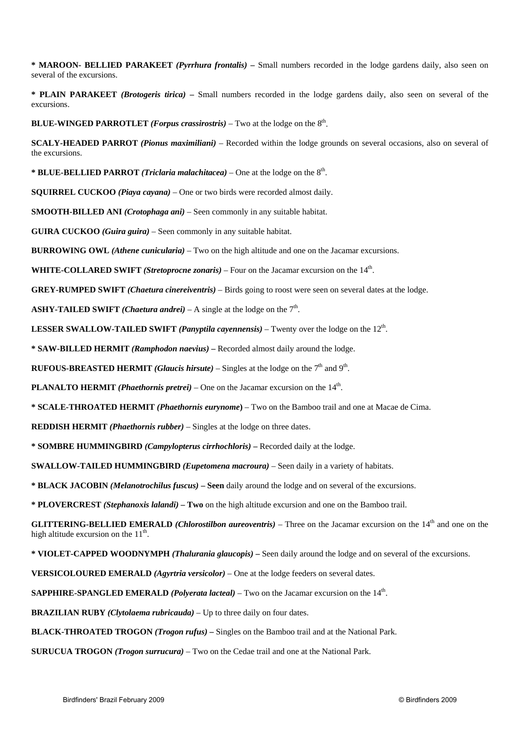**\* MAROON- BELLIED PARAKEET** *(Pyrrhura frontalis)* **–** Small numbers recorded in the lodge gardens daily, also seen on several of the excursions.

**\* PLAIN PARAKEET** *(Brotogeris tirica)* **–** Small numbers recorded in the lodge gardens daily, also seen on several of the excursions.

**BLUE-WINGED PARROTLET** *(Forpus crassirostris)* – Two at the lodge on the  $8<sup>th</sup>$ .

**SCALY-HEADED PARROT** *(Pionus maximiliani)* – Recorded within the lodge grounds on several occasions, also on several of the excursions.

**\* BLUE-BELLIED PARROT** *(Triclaria malachitacea)* – One at the lodge on the 8th.

**SQUIRREL CUCKOO** *(Piaya cayana)* – One or two birds were recorded almost daily.

**SMOOTH-BILLED ANI** *(Crotophaga ani)* – Seen commonly in any suitable habitat.

**GUIRA CUCKOO** *(Guira guira)* – Seen commonly in any suitable habitat.

**BURROWING OWL** *(Athene cunicularia)* – Two on the high altitude and one on the Jacamar excursions.

**WHITE-COLLARED SWIFT** *(Stretoprocne zonaris)* – Four on the Jacamar excursion on the 14th.

**GREY-RUMPED SWIFT** *(Chaetura cinereiventris)* – Birds going to roost were seen on several dates at the lodge.

**ASHY-TAILED SWIFT** *(Chaetura andrei)* – A single at the lodge on the  $7<sup>th</sup>$ .

**LESSER SWALLOW-TAILED SWIFT** *(Panyptila cayennensis)* – Twenty over the lodge on the  $12<sup>th</sup>$ .

**\* SAW-BILLED HERMIT** *(Ramphodon naevius)* **–** Recorded almost daily around the lodge.

**RUFOUS-BREASTED HERMIT** *(Glaucis hirsute)* – Singles at the lodge on the  $7<sup>th</sup>$  and  $9<sup>th</sup>$ .

**PLANALTO HERMIT** *(Phaethornis pretrei)* – One on the Jacamar excursion on the  $14<sup>th</sup>$ .

**\* SCALE-THROATED HERMIT** *(Phaethornis eurynome***)** – Two on the Bamboo trail and one at Macae de Cima.

**REDDISH HERMIT** *(Phaethornis rubber)* – Singles at the lodge on three dates.

**\* SOMBRE HUMMINGBIRD** *(Campylopterus cirrhochloris)* **–** Recorded daily at the lodge.

**SWALLOW-TAILED HUMMINGBIRD** *(Eupetomena macroura)* – Seen daily in a variety of habitats.

**\* BLACK JACOBIN** *(Melanotrochilus fuscus)* **– Seen** daily around the lodge and on several of the excursions.

**\* PLOVERCREST** *(Stephanoxis lalandi)* **– Two** on the high altitude excursion and one on the Bamboo trail.

**GLITTERING-BELLIED EMERALD** *(Chlorostilbon aureoventris)* – Three on the Jacamar excursion on the 14<sup>th</sup> and one on the high altitude excursion on the  $11<sup>th</sup>$ .

**\* VIOLET-CAPPED WOODNYMPH** *(Thalurania glaucopis)* **–** Seen daily around the lodge and on several of the excursions.

**VERSICOLOURED EMERALD** *(Agyrtria versicolor)* – One at the lodge feeders on several dates.

**SAPPHIRE-SPANGLED EMERALD** *(Polyerata lacteal)* – Two on the Jacamar excursion on the 14<sup>th</sup>.

**BRAZILIAN RUBY** *(Clytolaema rubricauda)* – Up to three daily on four dates.

**BLACK-THROATED TROGON** *(Trogon rufus)* **–** Singles on the Bamboo trail and at the National Park.

**SURUCUA TROGON** *(Trogon surrucura)* – Two on the Cedae trail and one at the National Park.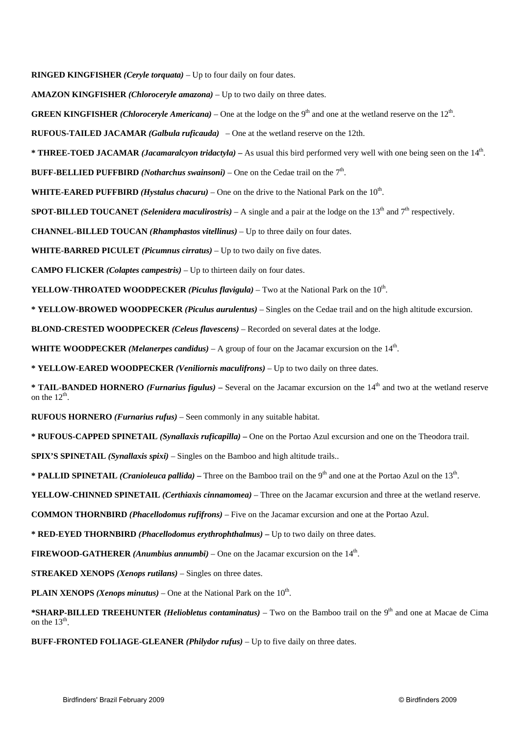**RINGED KINGFISHER** *(Ceryle torquata)* – Up to four daily on four dates.

**AMAZON KINGFISHER** *(Chloroceryle amazona)* – Up to two daily on three dates.

**GREEN KINGFISHER** *(Chloroceryle Americana)* – One at the lodge on the 9<sup>th</sup> and one at the wetland reserve on the  $12<sup>th</sup>$ .

**RUFOUS-TAILED JACAMAR** *(Galbula ruficauda)* – One at the wetland reserve on the 12th.

**\* THREE-TOED JACAMAR** *(Jacamaralcyon tridactyla)* **–** As usual this bird performed very well with one being seen on the 14th.

**BUFF-BELLIED PUFFBIRD** *(Notharchus swainsoni)* – One on the Cedae trail on the  $7<sup>th</sup>$ .

**WHITE-EARED PUFFBIRD** *(Hystalus chacuru)* – One on the drive to the National Park on the  $10<sup>th</sup>$ .

**SPOT-BILLED TOUCANET** *(Selenidera maculirostris)* – A single and a pair at the lodge on the  $13<sup>th</sup>$  and  $7<sup>th</sup>$  respectively.

**CHANNEL-BILLED TOUCAN** *(Rhamphastos vitellinus)* – Up to three daily on four dates.

**WHITE-BARRED PICULET** *(Picumnus cirratus)* – Up to two daily on five dates.

**CAMPO FLICKER** *(Colaptes campestris)* – Up to thirteen daily on four dates.

**YELLOW-THROATED WOODPECKER** *(Piculus flavigula)* – Two at the National Park on the  $10^{th}$ .

**\* YELLOW-BROWED WOODPECKER** *(Piculus aurulentus)* – Singles on the Cedae trail and on the high altitude excursion.

**BLOND-CRESTED WOODPECKER** *(Celeus flavescens)* – Recorded on several dates at the lodge.

**WHITE WOODPECKER** *(Melanerpes candidus)* – A group of four on the Jacamar excursion on the  $14<sup>th</sup>$ .

**\* YELLOW-EARED WOODPECKER** *(Veniliornis maculifrons)* – Up to two daily on three dates.

**\* TAIL-BANDED HORNERO** *(Furnarius figulus)* – Several on the Jacamar excursion on the 14<sup>th</sup> and two at the wetland reserve on the  $12^{th}$ .

**RUFOUS HORNERO** *(Furnarius rufus)* – Seen commonly in any suitable habitat.

**\* RUFOUS-CAPPED SPINETAIL** *(Synallaxis ruficapilla)* **–** One on the Portao Azul excursion and one on the Theodora trail.

**SPIX'S SPINETAIL** *(Synallaxis spixi)* – Singles on the Bamboo and high altitude trails..

\* **PALLID SPINETAIL** *(Cranioleuca pallida)* – Three on the Bamboo trail on the 9<sup>th</sup> and one at the Portao Azul on the 13<sup>th</sup>.

**YELLOW-CHINNED SPINETAIL** *(Certhiaxis cinnamomea)* – Three on the Jacamar excursion and three at the wetland reserve.

**COMMON THORNBIRD** *(Phacellodomus rufifrons)* – Five on the Jacamar excursion and one at the Portao Azul.

**\* RED-EYED THORNBIRD** *(Phacellodomus erythrophthalmus)* **–** Up to two daily on three dates.

**FIREWOOD-GATHERER** *(Anumbius annumbi)* – One on the Jacamar excursion on the  $14<sup>th</sup>$ .

**STREAKED XENOPS** *(Xenops rutilans)* – Singles on three dates.

**PLAIN XENOPS** *(Xenops minutus)* – One at the National Park on the  $10<sup>th</sup>$ .

\***SHARP-BILLED TREEHUNTER** *(Heliobletus contaminatus)* – Two on the Bamboo trail on the 9<sup>th</sup> and one at Macae de Cima on the  $13<sup>th</sup>$ .

**BUFF-FRONTED FOLIAGE-GLEANER** *(Philydor rufus)* – Up to five daily on three dates.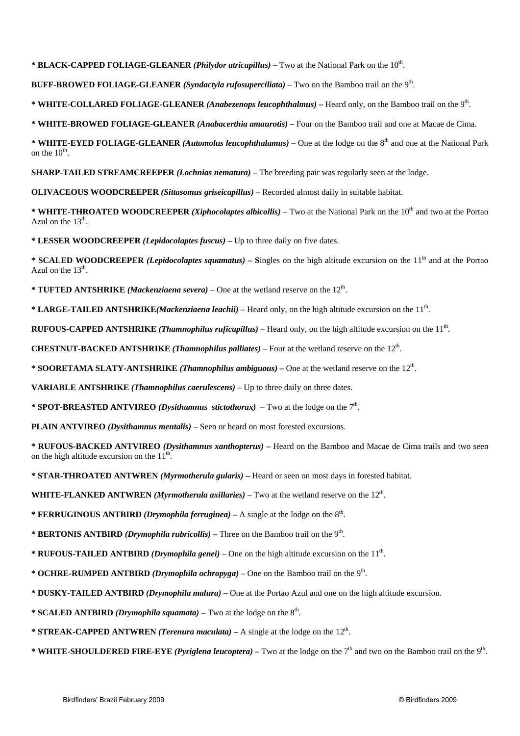**\* BLACK-CAPPED FOLIAGE-GLEANER** *(Philydor atricapillus)* **–** Two at the National Park on the 10th.

**BUFF-BROWED FOLIAGE-GLEANER** *(Syndactyla rufosuperciliata)* – Two on the Bamboo trail on the 9th.

**\* WHITE-COLLARED FOLIAGE-GLEANER** *(Anabezenops leucophthalmus)* **–** Heard only, on the Bamboo trail on the 9th.

**\* WHITE-BROWED FOLIAGE-GLEANER** *(Anabacerthia amaurotis)* **–** Four on the Bamboo trail and one at Macae de Cima.

**\* WHITE-EYED FOLIAGE-GLEANER** *(Automolus leucophthalamus)* – One at the lodge on the 8<sup>th</sup> and one at the National Park on the  $10^{\text{th}}$ .

**SHARP-TAILED STREAMCREEPER** *(Lochnias nematura)* – The breeding pair was regularly seen at the lodge.

**OLIVACEOUS WOODCREEPER** *(Sittasomus griseicapillus)* – Recorded almost daily in suitable habitat.

**\* WHITE-THROATED WOODCREEPER** *(Xiphocolaptes albicollis)* – Two at the National Park on the 10th and two at the Portao Azul on the  $13<sup>th</sup>$ .

**\* LESSER WOODCREEPER** *(Lepidocolaptes fuscus)* **–** Up to three daily on five dates.

\* **SCALED WOODCREEPER** *(Lepidocolaptes squamatus)* – Singles on the high altitude excursion on the 11<sup>th</sup> and at the Portao Azul on the  $13<sup>th</sup>$ .

**\* TUFTED ANTSHRIKE** *(Mackenziaena severa)* – One at the wetland reserve on the 12th.

**\* LARGE-TAILED ANTSHRIKE***(Mackenziaena leachii)* – Heard only, on the high altitude excursion on the 11th.

**RUFOUS-CAPPED ANTSHRIKE** *(Thamnophilus ruficapillus)* – Heard only, on the high altitude excursion on the 11th.

**CHESTNUT-BACKED ANTSHRIKE** *(Thamnophilus palliates)* – Four at the wetland reserve on the 12th.

**\* SOORETAMA SLATY-ANTSHRIKE** *(Thamnophilus ambiguous)* **–** One at the wetland reserve on the 12th.

**VARIABLE ANTSHRIKE** *(Thamnophilus caerulescens)* – Up to three daily on three dates.

**\* SPOT-BREASTED ANTVIREO** *(Dysithamnus stictothorax)* – Two at the lodge on the  $7<sup>th</sup>$ .

**PLAIN ANTVIREO** *(Dysithamnus mentalis)* – Seen or heard on most forested excursions.

**\* RUFOUS-BACKED ANTVIREO** *(Dysithamnus xanthopterus)* **–** Heard on the Bamboo and Macae de Cima trails and two seen on the high altitude excursion on the  $11<sup>th</sup>$ .

**\* STAR-THROATED ANTWREN** *(Myrmotherula gularis)* **–** Heard or seen on most days in forested habitat.

**WHITE-FLANKED ANTWREN** *(Myrmotherula axillaries)* – Two at the wetland reserve on the  $12<sup>th</sup>$ .

**\* FERRUGINOUS ANTBIRD** *(Drymophila ferruginea)* – A single at the lodge on the  $8<sup>th</sup>$ .

**\* BERTONIS ANTBIRD** *(Drymophila rubricollis)* **–** Three on the Bamboo trail on the 9th.

**\* RUFOUS-TAILED ANTBIRD** *(Drymophila genei)* – One on the high altitude excursion on the  $11<sup>th</sup>$ .

- **\* OCHRE-RUMPED ANTBIRD** *(Drymophila ochropyga)* One on the Bamboo trail on the 9th.
- **\* DUSKY-TAILED ANTBIRD** *(Drymophila malura)*One at the Portao Azul and one on the high altitude excursion.
- **\* SCALED ANTBIRD** *(Drymophila squamata)* Two at the lodge on the  $8<sup>th</sup>$ .
- **\* STREAK-CAPPED ANTWREN** *(Terenura maculata)*A single at the lodge on the 12th.
- \* **WHITE-SHOULDERED FIRE-EYE** *(Pyriglena leucoptera)* Two at the lodge on the  $7<sup>th</sup>$  and two on the Bamboo trail on the 9<sup>th</sup>.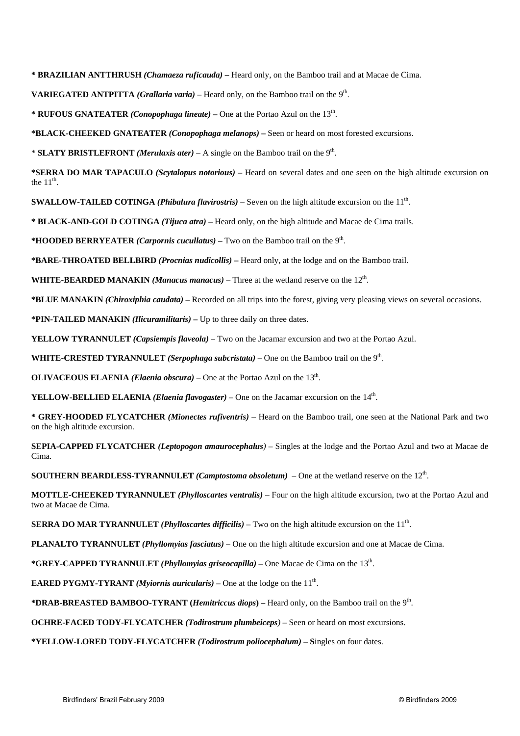**\* BRAZILIAN ANTTHRUSH** *(Chamaeza ruficauda)* **–** Heard only, on the Bamboo trail and at Macae de Cima.

**VARIEGATED ANTPITTA** *(Grallaria varia)* – Heard only, on the Bamboo trail on the 9th.

**\* RUFOUS GNATEATER** *(Conopophaga lineate)* **–** One at the Portao Azul on the 13th.

**\*BLACK-CHEEKED GNATEATER** *(Conopophaga melanops)* **–** Seen or heard on most forested excursions.

\* **SLATY BRISTLEFRONT** *(Merulaxis ater)* – A single on the Bamboo trail on the 9th.

**\*SERRA DO MAR TAPACULO** *(Scytalopus notorious)* **–** Heard on several dates and one seen on the high altitude excursion on the  $11<sup>th</sup>$ .

**SWALLOW-TAILED COTINGA** *(Phibalura flavirostris)* – Seven on the high altitude excursion on the 11th.

**\* BLACK-AND-GOLD COTINGA** *(Tijuca atra)* **–** Heard only, on the high altitude and Macae de Cima trails.

**\*HOODED BERRYEATER** *(Carpornis cucullatus)* **–** Two on the Bamboo trail on the 9th.

**\*BARE-THROATED BELLBIRD** *(Procnias nudicollis)* **–** Heard only, at the lodge and on the Bamboo trail.

**WHITE-BEARDED MANAKIN** *(Manacus manacus)* – Three at the wetland reserve on the 12<sup>th</sup>.

**\*BLUE MANAKIN** *(Chiroxiphia caudata)* **–** Recorded on all trips into the forest, giving very pleasing views on several occasions.

**\*PIN-TAILED MANAKIN** *(Ilicuramilitaris)* **–** Up to three daily on three dates.

**YELLOW TYRANNULET** *(Capsiempis flaveola)* – Two on the Jacamar excursion and two at the Portao Azul.

**WHITE-CRESTED TYRANNULET** *(Serpophaga subcristata)* – One on the Bamboo trail on the 9th.

**OLIVACEOUS ELAENIA** *(Elaenia obscura)* – One at the Portao Azul on the  $13<sup>th</sup>$ .

**YELLOW-BELLIED ELAENIA** *(Elaenia flavogaster)* – One on the Jacamar excursion on the  $14<sup>th</sup>$ .

**\* GREY-HOODED FLYCATCHER** *(Mionectes rufiventris)* – Heard on the Bamboo trail, one seen at the National Park and two on the high altitude excursion.

**SEPIA-CAPPED FLYCATCHER** *(Leptopogon amaurocephalus)* – Singles at the lodge and the Portao Azul and two at Macae de Cima.

**SOUTHERN BEARDLESS-TYRANNULET** *(Camptostoma obsoletum)* – One at the wetland reserve on the  $12<sup>th</sup>$ .

**MOTTLE-CHEEKED TYRANNULET** *(Phylloscartes ventralis)* – Four on the high altitude excursion, two at the Portao Azul and two at Macae de Cima.

**SERRA DO MAR TYRANNULET** *(Phylloscartes difficilis)* – Two on the high altitude excursion on the 11<sup>th</sup>.

**PLANALTO TYRANNULET** *(Phyllomyias fasciatus)* – One on the high altitude excursion and one at Macae de Cima.

**\*GREY-CAPPED TYRANNULET** *(Phyllomyias griseocapilla)* **–** One Macae de Cima on the 13th.

**EARED PYGMY-TYRANT** *(Myiornis auricularis)* – One at the lodge on the  $11<sup>th</sup>$ .

**\*DRAB-BREASTED BAMBOO-TYRANT (***Hemitriccus diops***) –** Heard only, on the Bamboo trail on the 9th.

**OCHRE-FACED TODY-FLYCATCHER** *(Todirostrum plumbeiceps)* – Seen or heard on most excursions.

**\*YELLOW-LORED TODY-FLYCATCHER** *(Todirostrum poliocephalum)* **– S**ingles on four dates.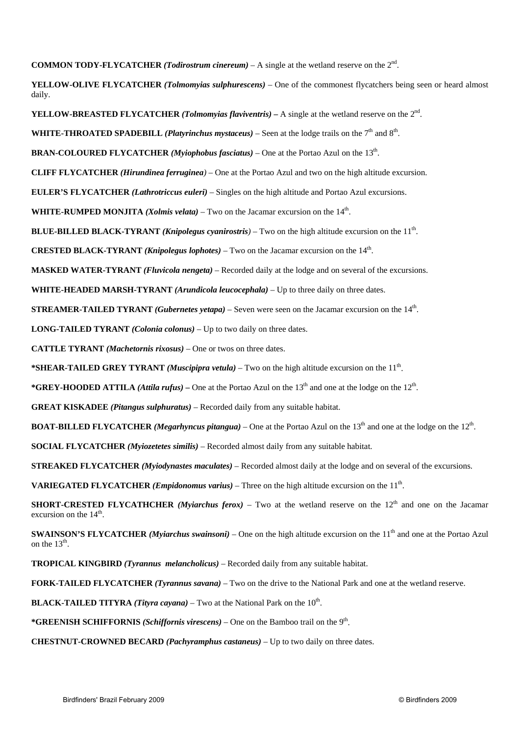**COMMON TODY-FLYCATCHER** *(Todirostrum cinereum)* – A single at the wetland reserve on the  $2<sup>nd</sup>$ .

**YELLOW-OLIVE FLYCATCHER** *(Tolmomyias sulphurescens)* – One of the commonest flycatchers being seen or heard almost daily.

**YELLOW-BREASTED FLYCATCHER** *(Tolmomyias flaviventris)* **–** A single at the wetland reserve on the 2nd.

**WHITE-THROATED SPADEBILL** *(Platyrinchus mystaceus)* – Seen at the lodge trails on the 7<sup>th</sup> and  $8<sup>th</sup>$ .

**BRAN-COLOURED FLYCATCHER** *(Myiophobus fasciatus)* – One at the Portao Azul on the 13th.

**CLIFF FLYCATCHER** *(Hirundinea ferruginea)* – One at the Portao Azul and two on the high altitude excursion.

**EULER'S FLYCATCHER** *(Lathrotriccus euleri)* – Singles on the high altitude and Portao Azul excursions.

**WHITE-RUMPED MONJITA** *(Xolmis velata)* – Two on the Jacamar excursion on the  $14<sup>th</sup>$ .

**BLUE-BILLED BLACK-TYRANT** *(Knipolegus cyanirostris)* – Two on the high altitude excursion on the 11th.

**CRESTED BLACK-TYRANT** *(Knipolegus lophotes)* – Two on the Jacamar excursion on the  $14<sup>th</sup>$ .

**MASKED WATER-TYRANT** *(Fluvicola nengeta)* – Recorded daily at the lodge and on several of the excursions.

**WHITE-HEADED MARSH-TYRANT** *(Arundicola leucocephala)* – Up to three daily on three dates.

**STREAMER-TAILED TYRANT** *(Gubernetes yetapa)* – Seven were seen on the Jacamar excursion on the 14th.

**LONG-TAILED TYRANT** *(Colonia colonus)* – Up to two daily on three dates.

**CATTLE TYRANT** *(Machetornis rixosus)* – One or twos on three dates.

**\*SHEAR-TAILED GREY TYRANT** *(Muscipipra vetula)* – Two on the high altitude excursion on the 11th.

\*GREY-HOODED ATTILA *(Attila rufus)* – One at the Portao Azul on the 13<sup>th</sup> and one at the lodge on the 12<sup>th</sup>.

**GREAT KISKADEE** *(Pitangus sulphuratus)* – Recorded daily from any suitable habitat.

**BOAT-BILLED FLYCATCHER** *(Megarhyncus pitangua)* – One at the Portao Azul on the 13<sup>th</sup> and one at the lodge on the  $12<sup>th</sup>$ .

**SOCIAL FLYCATCHER** *(Myiozetetes similis)* – Recorded almost daily from any suitable habitat.

**STREAKED FLYCATCHER** *(Myiodynastes maculates)* – Recorded almost daily at the lodge and on several of the excursions.

**VARIEGATED FLYCATCHER** *(Empidonomus varius)* – Three on the high altitude excursion on the  $11<sup>th</sup>$ .

**SHORT-CRESTED FLYCATHCHER** *(Myiarchus ferox)* – Two at the wetland reserve on the  $12<sup>th</sup>$  and one on the Jacamar excursion on the 14<sup>th</sup>.

**SWAINSON'S FLYCATCHER** *(Myiarchus swainsoni)* – One on the high altitude excursion on the 11<sup>th</sup> and one at the Portao Azul on the  $13<sup>th</sup>$ .

**TROPICAL KINGBIRD** *(Tyrannus melancholicus)* – Recorded daily from any suitable habitat.

**FORK-TAILED FLYCATCHER** *(Tyrannus savana)* – Two on the drive to the National Park and one at the wetland reserve.

**BLACK-TAILED TITYRA** *(Tityra cayana)* – Two at the National Park on the  $10<sup>th</sup>$ .

**\*GREENISH SCHIFFORNIS** *(Schiffornis virescens)* – One on the Bamboo trail on the 9th.

**CHESTNUT-CROWNED BECARD** *(Pachyramphus castaneus)* – Up to two daily on three dates.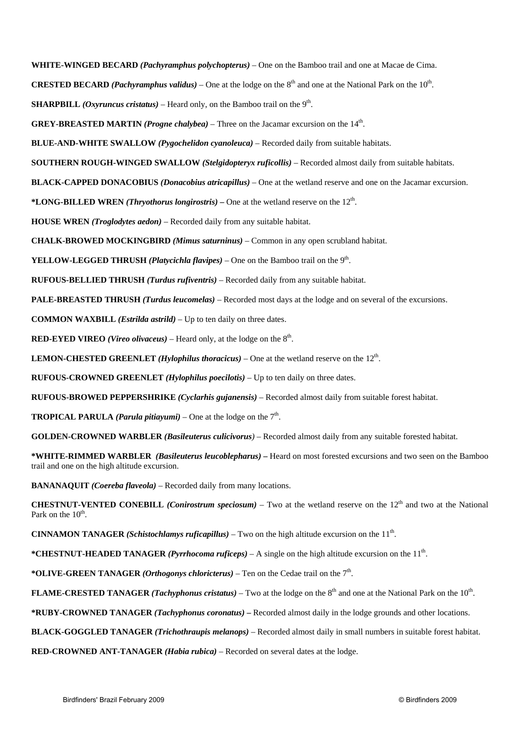**WHITE-WINGED BECARD** *(Pachyramphus polychopterus)* – One on the Bamboo trail and one at Macae de Cima.

**CRESTED BECARD** *(Pachyramphus validus)* – One at the lodge on the  $8<sup>th</sup>$  and one at the National Park on the  $10<sup>th</sup>$ .

**SHARPBILL** *(Oxyruncus cristatus)* – Heard only, on the Bamboo trail on the  $9<sup>th</sup>$ .

**GREY-BREASTED MARTIN** *(Progne chalybea)* – Three on the Jacamar excursion on the 14<sup>th</sup>.

**BLUE-AND-WHITE SWALLOW** *(Pygochelidon cyanoleuca)* – Recorded daily from suitable habitats.

**SOUTHERN ROUGH-WINGED SWALLOW** *(Stelgidopteryx ruficollis)* – Recorded almost daily from suitable habitats.

**BLACK-CAPPED DONACOBIUS** *(Donacobius atricapillus)* – One at the wetland reserve and one on the Jacamar excursion.

**\*LONG-BILLED WREN** *(Thryothorus longirostris)* **–** One at the wetland reserve on the 12th.

**HOUSE WREN** *(Troglodytes aedon)* – Recorded daily from any suitable habitat.

**CHALK-BROWED MOCKINGBIRD** *(Mimus saturninus)* – Common in any open scrubland habitat.

**YELLOW-LEGGED THRUSH** *(Platycichla flavipes)* – One on the Bamboo trail on the 9th.

**RUFOUS-BELLIED THRUSH** *(Turdus rufiventris)* – Recorded daily from any suitable habitat.

**PALE-BREASTED THRUSH** *(Turdus leucomelas)* – Recorded most days at the lodge and on several of the excursions.

**COMMON WAXBILL** *(Estrilda astrild)* – Up to ten daily on three dates.

**RED-EYED VIREO** *(Vireo olivaceus)* – Heard only, at the lodge on the  $8<sup>th</sup>$ .

**LEMON-CHESTED GREENLET** *(Hylophilus thoracicus)* – One at the wetland reserve on the  $12<sup>th</sup>$ .

**RUFOUS-CROWNED GREENLET** *(Hylophilus poecilotis)* – Up to ten daily on three dates.

**RUFOUS-BROWED PEPPERSHRIKE** *(Cyclarhis gujanensis)* – Recorded almost daily from suitable forest habitat.

**TROPICAL PARULA** *(Parula pitiayumi)* – One at the lodge on the  $7<sup>th</sup>$ .

**GOLDEN-CROWNED WARBLER** *(Basileuterus culicivorus)* – Recorded almost daily from any suitable forested habitat.

**\*WHITE-RIMMED WARBLER** *(Basileuterus leucoblepharus)* **–** Heard on most forested excursions and two seen on the Bamboo trail and one on the high altitude excursion.

**BANANAQUIT** *(Coereba flaveola)* – Recorded daily from many locations.

**CHESTNUT-VENTED CONEBILL** *(Conirostrum speciosum)* – Two at the wetland reserve on the  $12<sup>th</sup>$  and two at the National Park on the  $10^{th}$ .

**CINNAMON TANAGER** *(Schistochlamys ruficapillus)* – Two on the high altitude excursion on the  $11<sup>th</sup>$ .

**\*CHESTNUT-HEADED TANAGER** *(Pyrrhocoma ruficeps)* – A single on the high altitude excursion on the 11th.

\***OLIVE-GREEN TANAGER** *(Orthogonys chloricterus)* – Ten on the Cedae trail on the  $7<sup>th</sup>$ .

**FLAME-CRESTED TANAGER** *(Tachyphonus cristatus)* – Two at the lodge on the 8<sup>th</sup> and one at the National Park on the 10<sup>th</sup>.

**\*RUBY-CROWNED TANAGER** *(Tachyphonus coronatus)* **–** Recorded almost daily in the lodge grounds and other locations.

**BLACK-GOGGLED TANAGER** *(Trichothraupis melanops)* – Recorded almost daily in small numbers in suitable forest habitat.

**RED-CROWNED ANT-TANAGER** *(Habia rubica)* – Recorded on several dates at the lodge.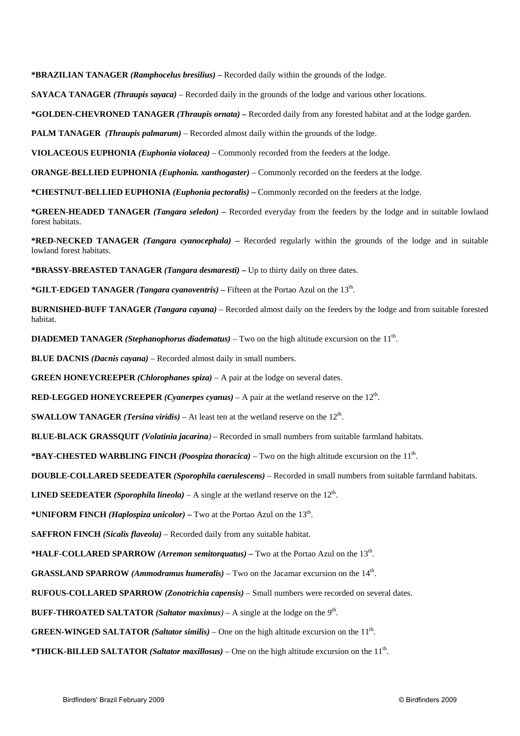**\*BRAZILIAN TANAGER** *(Ramphocelus bresilius)* **–** Recorded daily within the grounds of the lodge.

**SAYACA TANAGER** *(Thraupis sayaca)* – Recorded daily in the grounds of the lodge and various other locations.

**\*GOLDEN-CHEVRONED TANAGER** *(Thraupis ornata)* **–** Recorded daily from any forested habitat and at the lodge garden.

**PALM TANAGER** *(Thraupis palmarum)* – Recorded almost daily within the grounds of the lodge.

**VIOLACEOUS EUPHONIA** *(Euphonia violacea)* – Commonly recorded from the feeders at the lodge.

**ORANGE-BELLIED EUPHONIA** *(Euphonia. xanthogaster)* – Commonly recorded on the feeders at the lodge.

**\*CHESTNUT-BELLIED EUPHONIA** *(Euphonia pectoralis)* **–** Commonly recorded on the feeders at the lodge.

**\*GREEN-HEADED TANAGER** *(Tangara seledon)* **–** Recorded everyday from the feeders by the lodge and in suitable lowland forest habitats.

**\*RED-NECKED TANAGER** *(Tangara cyanocephala)* **–** Recorded regularly within the grounds of the lodge and in suitable lowland forest habitats.

**\*BRASSY-BREASTED TANAGER** *(Tangara desmaresti)* **–** Up to thirty daily on three dates.

**\*GILT-EDGED TANAGER** *(Tangara cyanoventris)* **–** Fifteen at the Portao Azul on the 13th.

**BURNISHED-BUFF TANAGER** *(Tangara cayana)* – Recorded almost daily on the feeders by the lodge and from suitable forested habitat.

**DIADEMED TANAGER** *(Stephanophorus diadematus)* – Two on the high altitude excursion on the 11<sup>th</sup>.

**BLUE DACNIS** *(Dacnis cayana)* – Recorded almost daily in small numbers.

**GREEN HONEYCREEPER** *(Chlorophanes spiza)* – A pair at the lodge on several dates.

**RED-LEGGED HONEYCREEPER** *(Cyanerpes cyanus)* – A pair at the wetland reserve on the  $12<sup>th</sup>$ .

**SWALLOW TANAGER** *(Tersina viridis)* – At least ten at the wetland reserve on the  $12<sup>th</sup>$ .

**BLUE-BLACK GRASSQUIT** *(Volatinia jacarina)* – Recorded in small numbers from suitable farmland habitats.

**\*BAY-CHESTED WARBLING FINCH** *(Poospiza thoracica)* – Two on the high altitude excursion on the 11th.

**DOUBLE-COLLARED SEEDEATER** *(Sporophila caerulescens)* – Recorded in small numbers from suitable farmland habitats.

**LINED SEEDEATER** *(Sporophila lineola)* – A single at the wetland reserve on the  $12<sup>th</sup>$ .

**\*UNIFORM FINCH** *(Haplospiza unicolor)* **–** Two at the Portao Azul on the 13th.

**SAFFRON FINCH** *(Sicalis flaveola)* – Recorded daily from any suitable habitat.

**\*HALF-COLLARED SPARROW** *(Arremon semitorquatus)* **–** Two at the Portao Azul on the 13th.

**GRASSLAND SPARROW** *(Ammodramus humeralis)* – Two on the Jacamar excursion on the 14<sup>th</sup>.

**RUFOUS-COLLARED SPARROW** *(Zonotrichia capensis)* – Small numbers were recorded on several dates.

**BUFF-THROATED SALTATOR** *(Saltator maximus*) – A single at the lodge on the  $9<sup>th</sup>$ .

**GREEN-WINGED SALTATOR** *(Saltator similis)* – One on the high altitude excursion on the  $11<sup>th</sup>$ .

**\*THICK-BILLED SALTATOR** *(Saltator maxillosus)* – One on the high altitude excursion on the 11th.